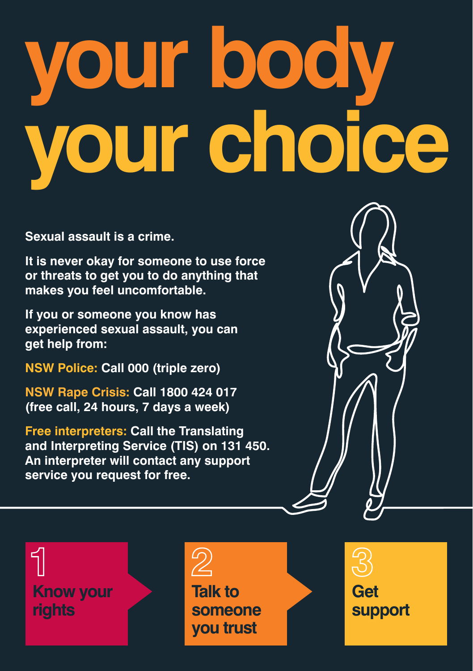# **your body your choice**

**Sexual assault is a crime.** 

**It is never okay for someone to use force or threats to get you to do anything that makes you feel uncomfortable.** 

**If you or someone you know has experienced sexual assault, you can get help from:** 

**NSW Police: Call 000 (triple zero)** 

**NSW Rape Crisis: Call 1800 424 017 (free call, 24 hours, 7 days a week)** 

**Free interpreters: Call the Translating and Interpreting Service (TIS) on 131 450. An interpreter will contact any support service you request for free.** 



# $\mathcal{D}$

**Talk to someone you trust**

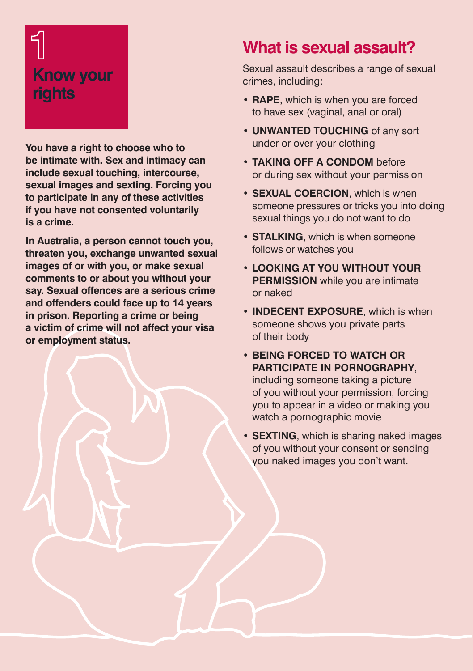# **Know your rights**

**You have a right to choose who to be intimate with. Sex and intimacy can include sexual touching, intercourse, sexual images and sexting. Forcing you to participate in any of these activities if you have not consented voluntarily is a crime.** 

**In Australia, a person cannot touch you, threaten you, exchange unwanted sexual images of or with you, or make sexual comments to or about you without your say. Sexual offences are a serious crime and offenders could face up to 14 years in prison. Reporting a crime or being a victim of crime will not affect your visa or employment status.**

### **What is sexual assault?**

Sexual assault describes a range of sexual crimes, including:

- **• RAPE**, which is when you are forced to have sex (vaginal, anal or oral)
- **• UNWANTED TOUCHING** of any sort under or over your clothing
- **• TAKING OFF A CONDOM** before or during sex without your permission
- **• SEXUAL COERCION**, which is when someone pressures or tricks you into doing sexual things you do not want to do
- **• STALKING**, which is when someone follows or watches you
- **• LOOKING AT YOU WITHOUT YOUR PERMISSION** while you are intimate or naked
- **• INDECENT EXPOSURE**, which is when someone shows you private parts of their body
- **• BEING FORCED TO WATCH OR PARTICIPATE IN PORNOGRAPHY**,

including someone taking a picture of you without your permission, forcing you to appear in a video or making you watch a pornographic movie

**• SEXTING**, which is sharing naked images of you without your consent or sending you naked images you don't want.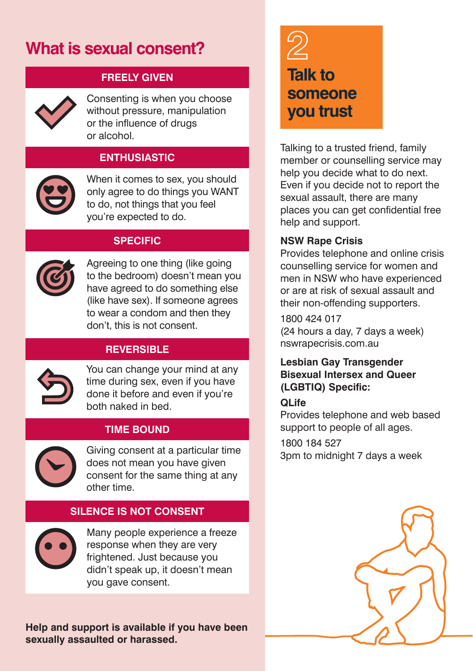## **What is sexual consent?**



**FREELY GIVEN**

Consenting is when you choose without pressure, manipulation or the influence of drugs or alcohol.

#### **ENTHUSIASTIC**

When it comes to sex, you should only agree to do things you WANT to do, not things that you feel you're expected to do.

#### **SPECIFIC**



Agreeing to one thing (like going to the bedroom) doesn't mean you have agreed to do something else (like have sex). If someone agrees to wear a condom and then they don't, this is not consent.

#### **REVERSIBLE**



You can change your mind at any time during sex, even if you have done it before and even if you're both naked in bed.

#### **TIME BOUND**



Giving consent at a particular time does not mean you have given consent for the same thing at any other time.

#### **SILENCE IS NOT CONSENT**



Many people experience a freeze response when they are very frightened. Just because you didn't speak up, it doesn't mean you gave consent.

**Help and support is available if you have been sexually assaulted or harassed.**

**Talk to someone you trust**

Talking to a trusted friend, family member or counselling service may help you decide what to do next. Even if you decide not to report the sexual assault, there are many places you can get confidential free help and support.

#### **NSW Rape Crisis**

Provides telephone and online crisis counselling service for women and men in NSW who have experienced or are at risk of sexual assault and their non-offending supporters.

1800 424 017 (24 hours a day, 7 days a week) nswrapecrisis.com.au

#### **Lesbian Gay Transgender Bisexual Intersex and Queer (LGBTIQ) Specific:**

#### **QLife**

Provides telephone and web based support to people of all ages.

1800 184 527

3pm to midnight 7 days a week